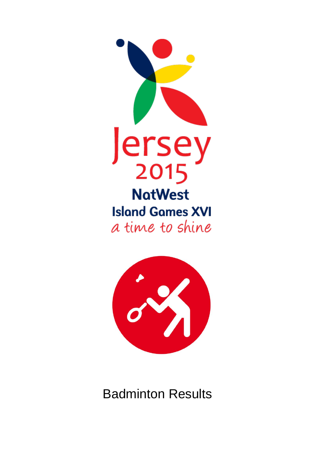



Badminton Results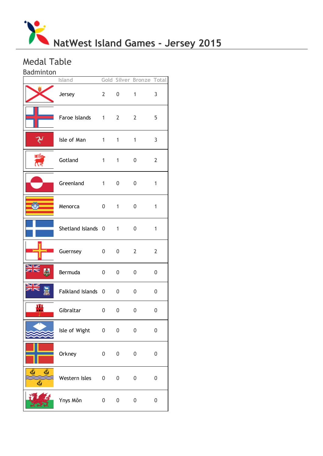

# Medal Table

Badminton

|            | Island               |                |              | Gold Silver Bronze Total |                  |
|------------|----------------------|----------------|--------------|--------------------------|------------------|
|            | Jersey               | $2^{\sim}$     | 0            | $\mathbf{1}$             | 3                |
|            | Faroe Islands 1 2    |                |              | $2^{\circ}$              | 5                |
|            | Isle of Man 1        |                | 1            | $\mathbf{1}$             | 3                |
|            | Gotland              | $1 \quad \Box$ | 1            | 0                        | $\overline{2}$   |
|            | Greenland 1          |                | 0            | 0                        | 1                |
|            | Menorca              | $0 \qquad 1$   |              | 0                        | 1                |
|            | Shetland Islands 0 1 |                |              | 0                        | 1                |
|            | Guernsey             | 0              | $0\qquad 2$  |                          | $\overline{2}$   |
| אצ<br>Ы    | Bermuda              | 0              | $\mathbf{0}$ | $\mathbf 0$              | 0                |
|            | Falkland Islands 0 0 |                |              | 0                        | 0                |
| ш<br>i O k | Gibraltar            | 0              | 0            | 0                        | 0                |
|            | Isle of Wight 0 0    |                |              | $\boldsymbol{0}$         | $\boldsymbol{0}$ |
|            | Orkney               | $\overline{0}$ | 0            | $\boldsymbol{0}$         | 0                |
| Ő,<br>Ő,   | Western Isles        | $\overline{0}$ | 0            | $\boldsymbol{0}$         | 0                |
|            | Ynys Môn             | $\mathbf 0$    | 0            | $\boldsymbol{0}$         | 0                |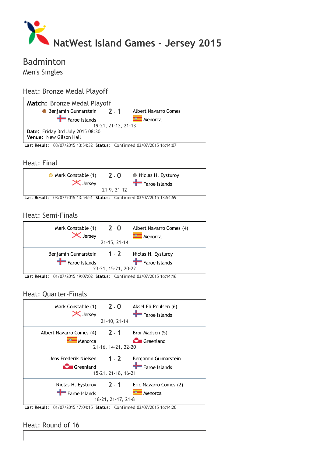

# Badminton

Men's Singles

## Heat: Bronze Medal Playoff



### Heat: Final



Last Result: 03/07/2015 13:54:51 Status: Confirmed 03/07/2015 13:54:59

## Heat: Semi‐Finals



Last Result: 01/07/2015 19:07:02 Status: Confirmed 03/07/2015 16:14:16

## Heat: Quarter‐Finals

| Mark Constable (1) 2 - 0<br><b>X</b> Jersey |                     | Aksel Eli Poulsen (6)<br>$\blacksquare$ Faroe Islands |  |  |  |
|---------------------------------------------|---------------------|-------------------------------------------------------|--|--|--|
|                                             | 21-10, 21-14        |                                                       |  |  |  |
| Albert Navarro Comes (4) 2 - 1              |                     | Bror Madsen (5)                                       |  |  |  |
| Menorca                                     |                     | <b>C</b> Greenland                                    |  |  |  |
|                                             | 21-16, 14-21, 22-20 |                                                       |  |  |  |
| Jens Frederik Nielsen                       | $1 - 2$             | Benjamin Gunnarstein                                  |  |  |  |
| <b>C</b> Greenland                          |                     | Faroe Islands                                         |  |  |  |
|                                             | 15-21, 21-18, 16-21 |                                                       |  |  |  |
| Niclas H. Eysturoy                          | $2 - 1$             | Eric Navarro Comes (2)                                |  |  |  |
| Faroe Islands                               |                     | Menorca                                               |  |  |  |
|                                             | 18-21, 21-17, 21-8  |                                                       |  |  |  |

Last Result: 01/07/2015 17:04:15 Status: Confirmed 03/07/2015 16:14:20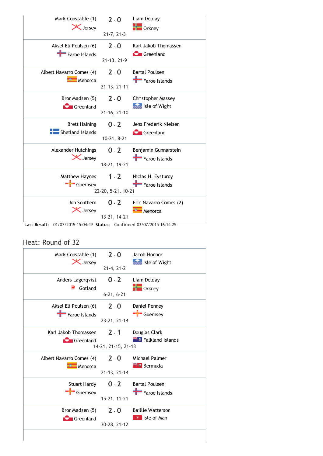| Mark Constable (1)<br><b>X</b> Jersey                        | $2 - 0$            | Liam Delday<br>$\frac{1}{\sqrt{2}}$ Orkney |
|--------------------------------------------------------------|--------------------|--------------------------------------------|
|                                                              | $21 - 7, 21 - 3$   |                                            |
| Aksel Eli Poulsen (6)<br>Faroe Islands                       | $2 - 0$            | Karl Jakob Thomassen<br><b>C</b> Greenland |
|                                                              | 21-13, 21-9        |                                            |
| Albert Navarro Comes (4)<br>$\overline{\phantom{1}}$ Menorca | $2 - 0$            | <b>Bartal Poulsen</b><br>Faroe Islands     |
|                                                              | 21-13, 21-11       |                                            |
| Bror Madsen (5)                                              | $2 - 0$            | Christopher Massey                         |
| <b>C</b> Greenland                                           | 21-16, 21-10       | Isle of Wight                              |
| <b>Brett Haining</b>                                         | $0 - 2$            | Jens Frederik Nielsen                      |
| Shetland Islands                                             | 10-21, 8-21        | <b>C</b> Greenland                         |
| <b>Alexander Hutchings</b>                                   | $0 - 2$            | Benjamin Gunnarstein                       |
| <b>X</b> Jersey                                              | 18-21, 19-21       | Faroe Islands                              |
| Matthew Haynes                                               | $1 - 2$            | Niclas H. Eysturoy                         |
| Guernsey                                                     | 22-20, 5-21, 10-21 | Faroe Islands                              |
| Jon Southern                                                 | $0 - 2$            | Eric Navarro Comes (2)                     |
| <b>X</b> Jersey                                              | 13-21, 14-21       | ≕<br>Menorca                               |

Last Result: 01/07/2015 15:04:49 Status: Confirmed 03/07/2015 16:14:25

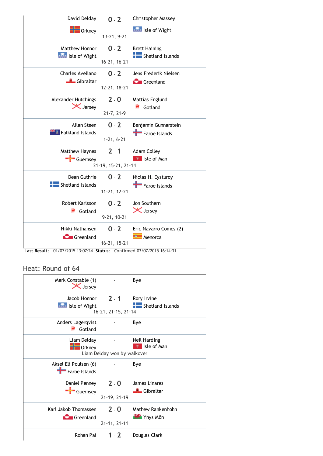

Last Result: 01/07/2015 13:07:24 Status: Confirmed 03/07/2015 16:14:31

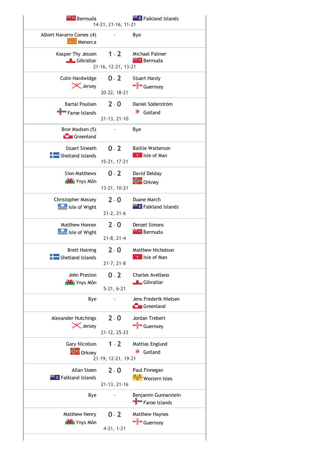| <sup>24</sup> Bermuda                    | 14-21, 21-16, 11-21     | <b>External Falkland Islands</b>      |
|------------------------------------------|-------------------------|---------------------------------------|
| Albert Navarro Comes (4)<br>≕<br>Menorca |                         | Bye                                   |
| Kasper Thy Jessen                        | $1 - 2$                 | Michael Palmer                        |
| Gibraltar                                | 21-16, 12-21, 13-21     | <b>Extra</b> Bermuda                  |
| Colin Hardwidge                          | $0 - 2$                 | <b>Stuart Hardy</b>                   |
| <b>X</b> Jersey                          | 20-22, 18-21            | $\leftarrow$ Guernsey                 |
| <b>Bartal Poulsen</b><br>Faroe Islands   | $2 - 0$<br>21-13, 21-10 | Daniel Söderström<br>₹<br>Gotland     |
| Bror Madsen (5)<br>Greenland             |                         | Bye                                   |
| <b>Stuart Sineath</b>                    | $0 - 2$                 | <b>Baillie Watterson</b>              |
| Shetland Islands                         | 15-21, 17-21            | <b>P</b> Isle of Man                  |
| Sion Matthews                            | $0 - 2$                 | David Delday                          |
| <b>WAY</b> Ynys Môn                      | 13-21, 10-21            | $\blacksquare$ Orkney                 |
| Christopher Massey                       | $2 - 0$                 | Duane March                           |
| Isle of Wight                            | $21 - 2, 21 - 6$        | <b>THE Falkland Islands</b>           |
| Matthew Honnor                           | $2 - 0$                 | Denzel Simons                         |
| <b>See Isle of Wight</b>                 | $21-8, 21-4$            | <b>Extra</b> Bermuda                  |
| <b>Brett Haining</b>                     | $2 - 0$                 | Matthew Nicholson                     |
| Shetland Islands                         | $21 - 7, 21 - 8$        | * Isle of Man                         |
| John Preston                             | $0 - 2$                 | Charles Avellano                      |
| <b>WAY</b> Ynys Môn                      | $5-21, 6-21$            | <b>L</b> Gibraltar                    |
| Bye                                      |                         | Jens Frederik Nielsen<br>Greenland    |
| <b>Alexander Hutchings</b>               | $2 - 0$                 | Jordan Trebert                        |
| <b>X</b> Jersey                          | 21-12, 25-23            | $\frac{1}{\sqrt{2}}$ Guernsey         |
| Gary Nicolson                            | $1 - 2$                 | Mattias Englund                       |
| $\frac{1}{2}$ Orkney                     | 21-19, 12-21, 19-21     | Gotland                               |
| Allan Steen                              | $2 - 0$                 | Paul Finnegan                         |
| <b>External Falkland Islands</b>         | 21-13, 21-16            | Western Isles                         |
| Bye                                      |                         | Benjamin Gunnarstein<br>Faroe Islands |
| Matthew Henry                            | $0 - 2$                 | Matthew Haynes                        |
| <b>Mas</b> Ynys Môn                      | $4-21, 1-21$            | Guernsey                              |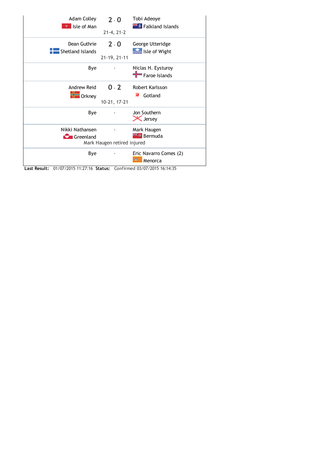| <b>Adam Colley</b><br>Isle of Man    | $2 - 0$<br>$21 - 4, 21 - 2$ | Tobi Adeoye<br><b>External Falkland Islands</b> |
|--------------------------------------|-----------------------------|-------------------------------------------------|
| Dean Guthrie<br>Shetland Islands     | $2 - 0$<br>21-19, 21-11     | George Utteridge<br>Isle of Wight               |
| Bye                                  |                             | Niclas H. Eysturoy<br>Faroe Islands             |
| Andrew Reid<br>$\blacksquare$ Orkney | $0 - 2$<br>10-21, 17-21     | Robert Karlsson<br>Gotland                      |
| Bye                                  |                             | Jon Southern<br><b>X</b> Jersey                 |
| Nikki Nathansen<br><b>Greenland</b>  | Mark Haugen retired injured | Mark Haugen<br><b>Extra</b> Bermuda             |
| Bye                                  |                             | Eric Navarro Comes (2)<br>Menorca               |

Last Result: 01/07/2015 11:27:16 Status: Confirmed 03/07/2015 16:14:35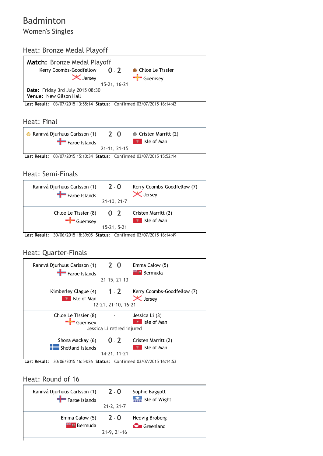# Badminton Women's Singles

## Heat: Bronze Medal Playoff



Last Result: 03/07/2015 13:55:14 Status: Confirmed 03/07/2015 16:14:42

### Heat: Final

| Rannvá Djurhuus Carlsson (1) | $7 - 0$      | • Cristen Marritt (2) |
|------------------------------|--------------|-----------------------|
| $\blacksquare$ Faroe Islands |              | <b>P</b> Isle of Man  |
|                              | 21-11, 21-15 |                       |

Last Result: 03/07/2015 15:10:34 Status: Confirmed 03/07/2015 15:52:14

### Heat: Semi‐Finals



Last Result: 30/06/2015 18:39:05 Status: Confirmed 03/07/2015 16:14:49

## Heat: Quarter‐Finals



Last Result: 30/06/2015 16:54:26 Status: Confirmed 03/07/2015 16:14:53

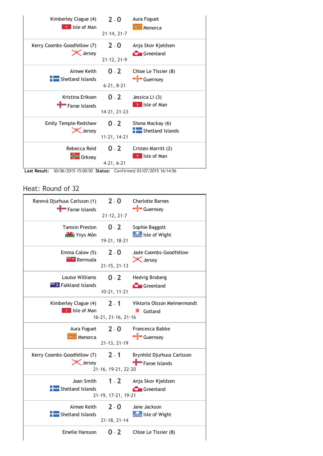| Kimberley Clague (4)<br>Isle of Man            | $2 - 0$           | Aura Foguet<br>Menorca                   |
|------------------------------------------------|-------------------|------------------------------------------|
|                                                | $21 - 14, 21 - 7$ |                                          |
| Kerry Coombs-Goodfellow (7)<br><b>X</b> Jersey | $2 - 0$           | Anja Skov Kjeldsen<br><b>C</b> Greenland |
|                                                | 21-12, 21-9       |                                          |
| Aimee Keith                                    | $0 - 2$           | Chloe Le Tissier (8)                     |
| Shetland Islands                               | $6 - 21, 8 - 21$  | $\frac{1}{\sqrt{2}}$ Guernsey            |
|                                                |                   |                                          |
| Kristina Eriksen<br>Faroe Islands              | $0 - 2$           | Jessica Li (3)<br><b>*</b> Isle of Man   |
|                                                | 14-21, 21-23      |                                          |
| Emily Temple-Redshaw                           | $0 - 2$           | Shona Mackay (6)                         |
| <b>X</b> Jersey                                | 11-21, 14-21      | Shetland Islands                         |
| Rebecca Reid                                   | $0 - 2$           | Cristen Marritt (2)                      |
| Orkney                                         |                   | Isle of Man                              |
|                                                | $4-21, 6-21$      |                                          |

Last Result: 30/06/2015 15:00:50 Status: Confirmed 03/07/2015 16:14:56

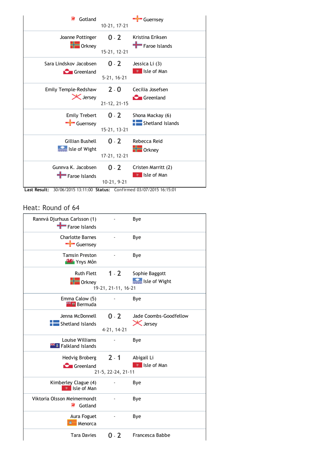| Gotland                  | 10-21, 17-21      | Guernsey                |
|--------------------------|-------------------|-------------------------|
| Joanne Pottinger         | $0 - 2$           | Kristina Eriksen        |
| $\blacksquare$ Orkney    | 15-21, 12-21      | Faroe Islands           |
| Sara Lindskov Jacobsen   | $0 - 2$           | Jessica Li (3)          |
| <b>C</b> Greenland       | $5 - 21, 16 - 21$ | Isle of Man             |
| Emily Temple-Redshaw     | $2 - 0$           | Cecilia Josefsen        |
| <b>X</b> Jersey          | 21-12, 21-15      | <b>Greenland</b>        |
| <b>Emily Trebert</b>     | $0 - 2$           | Shona Mackay (6)        |
| Guernsey                 | 15-21, 13-21      | <b>Shetland Islands</b> |
| Gillian Bushell          | $0 - 2$           | Rebecca Reid            |
| <b>See Isle of Wight</b> | 17-21, 12-21      | $\blacksquare$ Orkney   |
| Gunnya K. Jacobsen       | $0 - 2$           | Cristen Marritt (2)     |
| Faroe Islands            | $10-21, 9-21$     | Isle of Man             |

Last Result: 30/06/2015 13:11:00 Status: Confirmed 03/07/2015 16:15:01

| Rannvá Djurhuus Carlsson (1)<br>Faroe Islands            |                     | Bye                             |
|----------------------------------------------------------|---------------------|---------------------------------|
| <b>Charlotte Barnes</b><br>$\frac{1}{\sqrt{2}}$ Guernsey |                     | Bye                             |
| <b>Tamsin Preston</b><br><b>W</b> Ynys Môn               |                     | Bye                             |
| <b>Ruth Flett</b><br>$\blacksquare$ Orkney               | $1 - 2$             | Sophie Baggott<br>Isle of Wight |
|                                                          | 19-21, 21-11, 16-21 |                                 |
| Emma Calow (5)<br><b>E Bermuda</b>                       |                     | Bye                             |
| Jenna McDonnell                                          | $0 - 2$             | Jade Coombs-Goodfellow          |
| Shetland Islands                                         |                     | <b>X</b> Jersey                 |
|                                                          | 4-21, 14-21         |                                 |
| Louise Williams<br><b>Falkland Islands</b>               |                     | Bye                             |
| Hedvig Broberg                                           | $2 - 1$             | Abigail Li                      |
| <b>C</b> Greenland                                       |                     | $\overline{v}$ Isle of Man      |
|                                                          | 21-5, 22-24, 21-11  |                                 |
| Kimberley Clague (4)<br>₹ Isle of Man                    |                     | Bye                             |
| Viktoria Olsson Meimermondt<br><b>R</b> Gotland          |                     | Bye                             |
| Aura Foguet<br>Menorca                                   |                     | Bye                             |
| <b>Tara Davies</b>                                       | $0 - 2$             | Francesca Babbe                 |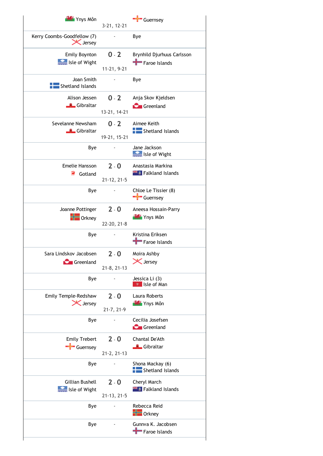| <b>WAY</b> Ynys Môn                            | 3-21, 12-21                  | <b>Guernsey</b>                                    |
|------------------------------------------------|------------------------------|----------------------------------------------------|
| Kerry Coombs-Goodfellow (7)<br><b>X</b> Jersey |                              | Bye                                                |
| Emily Boynton<br>Isle of Wight                 | $0 - 2$<br>11-21, 9-21       | Brynhild Djurhuus Carlsson<br>Faroe Islands        |
| Joan Smith<br>Shetland Islands                 |                              | Bye                                                |
| Alison Jessen<br><b>Gibraltar</b>              | $0 - 2$<br>13-21, 14-21      | Anja Skov Kjeldsen<br>Greenland                    |
| Sevelanne Newsham<br>Gibraltar                 | $0 - 2$<br>19-21, 15-21      | Aimee Keith<br>Shetland Islands                    |
| Bye                                            |                              | Jane Jackson<br>Isle of Wight                      |
| Emelie Hansson<br>₹<br>Gotland                 | $2 - 0$<br>21-12, 21-5       | Anastasia Markina<br><b>Extra</b> Falkland Islands |
| Bye                                            |                              | Chloe Le Tissier (8)<br>Guernsey                   |
| Joanne Pottinger<br>Orkney                     | $2 - 0$<br>22-20, 21-8       | Aneesa Hossain-Parry<br><b>BAS</b> Ynys Môn        |
| Bye                                            |                              | Kristina Eriksen<br>Faroe Islands                  |
| Sara Lindskov Jacobsen<br>Greenland            | $2 - 0$<br>$21 - 8, 21 - 13$ | Moira Ashby<br>X Jersey                            |
| Bye                                            |                              | Jessica Li (3)<br>* Isle of Man                    |
| Emily Temple-Redshaw<br><b>X</b> Jersey        | $2 - 0$<br>$21 - 7, 21 - 9$  | Laura Roberts<br><b>WAY</b> Ynys Môn               |
| Bye                                            |                              | Cecilia Josefsen<br>Greenland                      |
| <b>Emily Trebert</b><br>Guernsey               | $2 - 0$<br>21-2, 21-13       | Chantal De'Ath<br>Gibraltar                        |
| Bye                                            |                              | Shona Mackay (6)<br>Shetland Islands               |
| Gillian Bushell<br>Isle of Wight               | $2 - 0$<br>21-13, 21-5       | Cheryl March<br><b>Extra</b> Falkland Islands      |
| Bye                                            |                              | Rebecca Reid<br><b>The Orkney</b>                  |
| Bye                                            |                              | Gunnva K. Jacobsen<br>Faroe Islands                |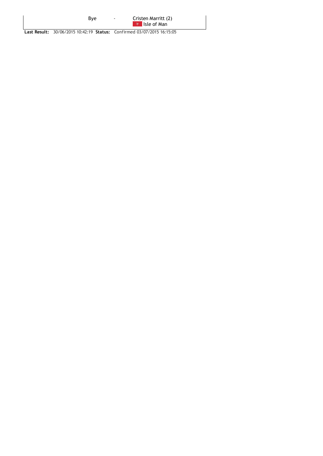By[e](http://jersey2015results.com/island.aspx?IslandID=0) ‐ [Cristen](http://jersey2015results.com/competitor.aspx?RegID=34863) Marritt (2) Isle of [Man](http://jersey2015results.com/island.aspx?IslandID=12)

Last Result: 30/06/2015 10:42:19 Status: Confirmed 03/07/2015 16:15:05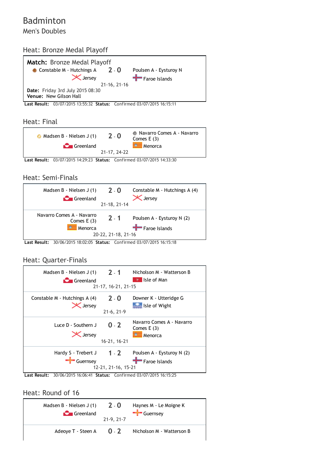# Badminton Men's Doubles

## Heat: Bronze Medal Playoff



Last Result: 03/07/2015 13:55:32 Status: Confirmed 03/07/2015 16:15:11

### Heat: Final



Last Result: 03/07/2015 14:29:23 Status: Confirmed 03/07/2015 14:33:30

## Heat: Semi‐Finals

| Madsen B - Nielsen J (1)                             | $2 - 0$                        | Constable M - Hutchings A (4)               |
|------------------------------------------------------|--------------------------------|---------------------------------------------|
| <b>C</b> Greenland                                   | 21-18, 21-14                   | $\zeta$ Jersey                              |
| Navarro Comes A - Navarro<br>Comes $E(3)$<br>Menorca | $2 - 1$<br>20-22, 21-18, 21-16 | Poulsen A - Eysturoy N (2)<br>Faroe Islands |

Last Result: 30/06/2015 18:02:05 Status: Confirmed 03/07/2015 16:15:18

### Heat: Quarter‐Finals

| Madsen B - Nielsen J $(1)$ 2 - 1<br>Greenland | 21-17, 16-21, 21-15     | Nicholson M - Watterson B<br>Isle of Man             |
|-----------------------------------------------|-------------------------|------------------------------------------------------|
| Constable M - Hutchings A (4)                 | $2 - 0$                 | Downer K - Utteridge G                               |
| <b>X</b> Jersey                               | $21-6, 21-9$            | Isle of Wight                                        |
| Luce D - Southern J<br><b>X</b> Jersey        | $0 - 2$<br>16-21, 16-21 | Navarro Comes A - Navarro<br>Comes $E(3)$<br>Menorca |
| Hardy S - Trebert J                           | $1 - 2$                 | Poulsen A - Eysturoy N (2)                           |
| Guernsey                                      | 12-21, 21-16, 15-21     | Faroe Islands                                        |

Last Result: 30/06/2015 16:06:41 Status: Confirmed 03/07/2015 16:15:25

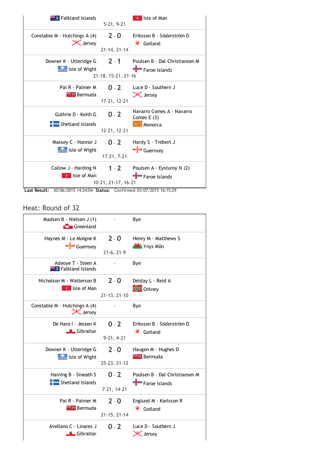

Last Result: 30/06/2015 14:24:04 Status: Confirmed 03/07/2015 16:15:29

| Madsen B - Nielsen J (1)<br><b>C</b> Greenland           |                         | Bye                                             |
|----------------------------------------------------------|-------------------------|-------------------------------------------------|
| Haynes M - Le Moigne K                                   | $2 - 0$                 | Henry M - Matthews S                            |
| Guernsey                                                 | $21-6, 21-9$            | <b>WAY</b> Ynys Môn                             |
| Adeoye T - Steen A<br><b>Example 15 Falkland Islands</b> |                         | Bye                                             |
| Nicholson M - Watterson B                                | $2 - 0$                 | Delday L - Reid A                               |
| Isle of Man                                              | 21-13, 21-10            | <b>No</b> Orkney                                |
| Constable M - Hutchings A (4)<br><b>X</b> Jersey         |                         | Bye                                             |
| De Haro I - Jessen K                                     | $0 - 2$                 | Eriksson B - Söderström D                       |
| <b>L</b> Gibraltar                                       | $9-21, 4-21$            | Gotland                                         |
| Downer K - Utteridge G                                   | $2 - 0$                 | Haugen M - Hughes D                             |
| Isle of Wight                                            | 25-23, 21-12            | <b>Externe Bermuda</b>                          |
| Haining B - Sineath S                                    | $0 - 2$                 | Poulsen B - Dal-Christiansen M                  |
| Shetland Islands                                         | 7-21, 14-21             | Faroe Islands                                   |
| Pai R - Palmer M<br><b>Externe Bermuda</b>               | $2 - 0$<br>21-15, 21-14 | Englund M - Karlsson R<br>浔<br>Gotland          |
| Avellano C - Linares J<br><u><sup>■</sup></u> Gibraltar  | $0 - 2$                 | Luce D - Southern J<br>$\mathsf{\times}$ Jersey |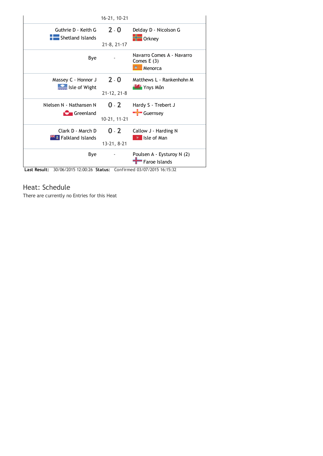|                                  | 16-21, 10-21      |                                                      |
|----------------------------------|-------------------|------------------------------------------------------|
| Guthrie D - Keith G              | $2 - 0$           | Delday D - Nicolson G                                |
| $\overline{a}$ Shetland Islands  | $21-8, 21-17$     | $\frac{1}{2}$ Orkney                                 |
| Bye                              |                   | Navarro Comes A - Navarro<br>Comes $E(3)$<br>Menorca |
| Massey C - Honnor J              | $2 - 0$           | Matthews L - Rankenhohn M                            |
| Isle of Wight                    | $21 - 12, 21 - 8$ | <b>WAY</b> Ynys Môn                                  |
| Nielsen N - Nathansen N          | $0 - 2$           | Hardy S - Trebert J                                  |
| Greenland                        | 10-21, 11-21      | $\frac{1}{2}$ Guernsey                               |
| Clark D - March D                | $0 - 2$           | Callow J - Harding N                                 |
| <b>External Falkland Islands</b> | 13-21, 8-21       | <b>N</b> Isle of Man                                 |
| Bye                              |                   | Poulsen A - Eysturoy N (2)<br>Faroe Islands          |

Last Result: 30/06/2015 12:00:26 Status: Confirmed 03/07/2015 16:15:32

## Heat: Schedule

There are currently no Entries for this Heat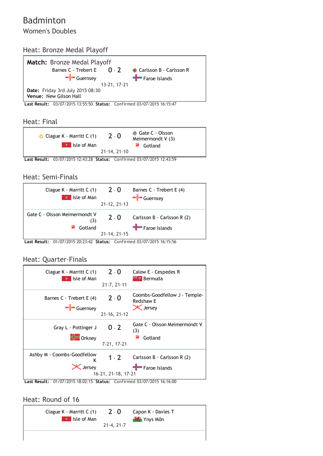## Badminton Women's Doubles

# Heat: Bronze Medal Playoff



Last Result: 03/07/2015 13:55:50 Status: Confirmed 03/07/2015 16:15:47

### Heat: Final



Last Result: 03/07/2015 12:43:28 Status: Confirmed 03/07/2015 12:43:59

## Heat: Semi‐Finals



Last Result: 01/07/2015 20:23:42 Status: Confirmed 03/07/2015 16:15:56

### Heat: Quarter‐Finals



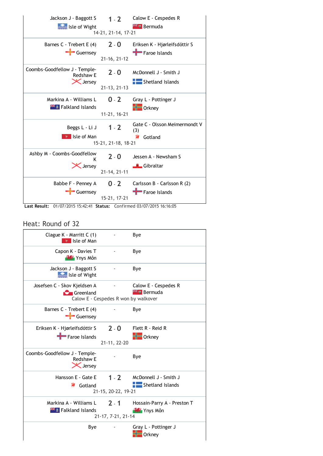

| Clague K - Marritt C (1)<br><b>v</b> Isle of Man              |                                      | Bye                                                |
|---------------------------------------------------------------|--------------------------------------|----------------------------------------------------|
| Capon K - Davies T<br><b>WS</b> Ynys Môn                      |                                      | Bye                                                |
| Jackson J - Baggott S<br>Isle of Wight                        |                                      | Bye                                                |
| Josefsen C - Skov Kjeldsen A<br><b>C</b> Greenland            | Calow E - Cespedes R won by walkover | Calow E - Cespedes R<br><b>Externe Bermuda</b>     |
| Barnes C - Trebert E (4)<br>$\frac{1}{2}$ Guernsey            |                                      | Bye                                                |
| Eriksen K - Hjørleifsdóttir S<br>Faroe Islands                | $2 - 0$<br>21-11, 22-20              | Flett R - Reid R<br>$\blacksquare$ Orkney          |
| Coombs-Goodfellow J - Temple-<br>Redshaw E<br><b>X</b> Jersey |                                      | Bye                                                |
| Hansson E - Gate E<br>Gotland<br>Ħ.                           | $1 - 2$<br>21-15, 20-22, 19-21       | McDonnell J - Smith J<br>Shetland Islands          |
| Markina A - Williams L<br><b>Extra</b> Falkland Islands       | $2 - 1$<br>21-17, 7-21, 21-14        | Hossain-Parry A - Preston T<br><b>WAY</b> Ynys Môn |
| Bye                                                           |                                      | Gray L - Pottinger J<br><b>Orkney</b>              |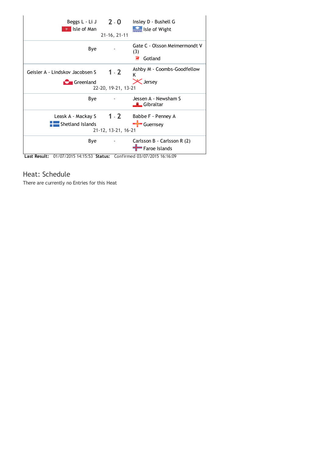

## Heat: Schedule

There are currently no Entries for this Heat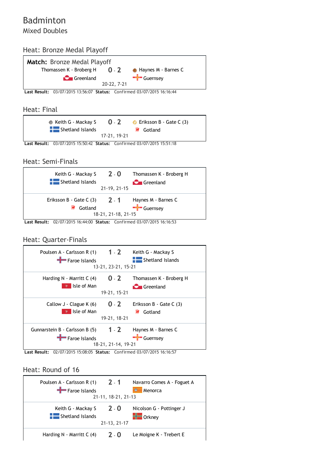## Badminton Mixed Doubles

## Heat: Bronze Medal Playoff



### Heat: Final



Last Result: 03/07/2015 15:50:42 Status: Confirmed 03/07/2015 15:51:18

### Heat: Semi‐Finals



Last Result: 02/07/2015 16:44:00 Status: Confirmed 03/07/2015 16:16:53

## Heat: Quarter‐Finals

| Poulsen A - Carlsson R $(1)$ 1 - 2<br>Faroe Islands     | 13-21, 23-21, 15-21 | Keith G - Mackay S<br>$\blacksquare$ Shetland Islands |
|---------------------------------------------------------|---------------------|-------------------------------------------------------|
| Harding $N$ - Marritt C $(4)$                           | $0 - 2$             | Thomassen K - Broberg H                               |
| Isle of Man                                             | 19-21, 15-21        | <b>C</b> Greenland                                    |
| Callow J - Clague K (6)                                 | $0 - 2$             | Eriksson B - Gate C (3)                               |
| Isle of Man                                             | 19-21, 18-21        | Gotland                                               |
| Gunnarstein B - Carlsson B $(5)$ 1 - 2<br>Faroe Islands | 18-21, 21-14, 19-21 | Haynes M - Barnes C<br>$\frac{1}{2}$ Guernsey         |

Last Result: 02/07/2015 15:08:05 Status: Confirmed 03/07/2015 16:16:57

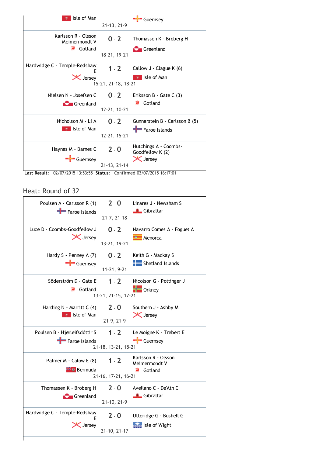

Last Result: 02/07/2015 13:53:55 Status: Confirmed 03/07/2015 16:17:01

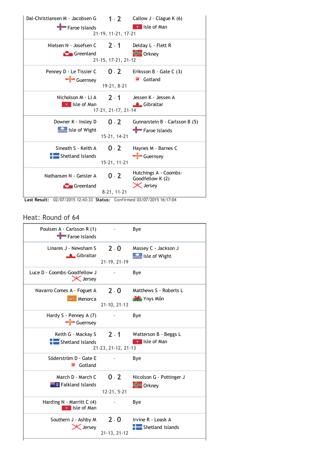| Dal-Christiansen M - Jacobsen G<br>Faroe Islands | 21-19, 11-21, 17-21    | $1 - 2$ Callow J - Clague K (6)<br><b>N</b> Isle of Man      |
|--------------------------------------------------|------------------------|--------------------------------------------------------------|
| Nielsen N - Josefsen C                           | $7 - 1$                | Delday L - Flett R                                           |
| <b>C</b> Greenland                               | 21-15, 17-21, 21-12    | <b>Orkney</b>                                                |
| Penney D - Le Tissier C                          | $0 - 2$                | Eriksson B - Gate C (3)                                      |
| Guernsey                                         | 19-21, 8-21            | Gotland                                                      |
| Nicholson M - Li A                               | $2 - 1$                | Jessen K - Jessen A                                          |
| $\mathcal{U}$ Isle of Man                        | 17-21, 21-17, 21-14    | <del>■</del> Gibraltar                                       |
| Downer K - Insley D                              | $0 - 2$                | Gunnarstein B - Carlsson B (5)                               |
| Isle of Wight                                    | 15-21, 14-21           | Faroe Islands                                                |
| Sineath S - Keith A                              | $0 - 2$                | Haynes M - Barnes C                                          |
| Shetland Islands                                 | 15-21, 11-21           | Guernsey                                                     |
| Nathansen N - Geisler A<br><b>C</b> Greenland    | $0 - 2$<br>8-21, 11-21 | Hutchings A - Coombs-<br>Goodfellow K (2)<br><b>X</b> Jersey |

Last Result: 02/07/2015 12:43:33 Status: Confirmed 03/07/2015 16:17:04

| Poulsen A - Carlsson R (1)<br>Faroe Islands                       |                          | Bye                      |
|-------------------------------------------------------------------|--------------------------|--------------------------|
| Linares J - Newsham S                                             | $2 - 0$                  | Massey C - Jackson J     |
| Gibraltar                                                         | 21-19, 21-19             | Isle of Wight            |
| Luce D - Coombs-Goodfellow J<br><b>X</b> Jersey                   |                          | Bye                      |
| Navarro Comes A - Foguet A                                        | $2 - 0$                  | Matthews S - Roberts L   |
| Menorca                                                           | 21-10, 21-13             | <b>WAY</b> Ynys Môn      |
| Hardy S - Penney A (7)<br>$\frac{1}{2}$ Guernsey                  | $\sim$                   | Bye                      |
| Keith G - Mackay S                                                | $2 - 1$                  | Watterson B - Beggs L    |
| Shetland Islands                                                  | 21-23, 21-12, 21-13      | v Isle of Man            |
| Söderström D - Gate E<br><b>R</b> Gotland                         | $\overline{\phantom{a}}$ | Bye                      |
| March D - March C                                                 | $0 - 2$                  | Nicolson G - Pottinger J |
| <b>Extra</b> Falkland Islands                                     | 12-21, 5-21              | $\blacksquare$ Orkney    |
| Harding N - Marritt C (4)<br>$\overline{\mathcal{X}}$ Isle of Man |                          | Bye                      |
| Southern J - Ashby M                                              | $2 - 0$                  | Irvine R - Leask A       |
| <b>X</b> Jersey                                                   | 21-13, 21-12             | Shetland Islands         |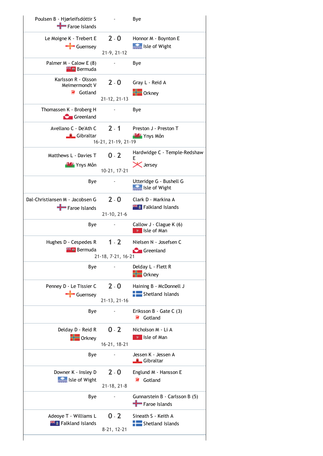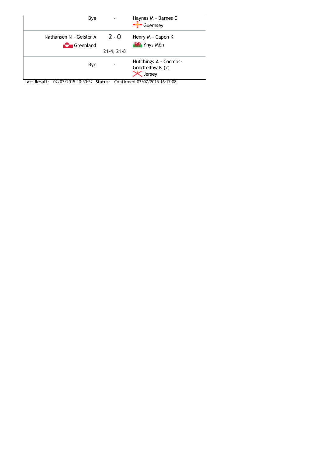

Last Result: 02/07/2015 10:50:52 Status: Confirmed 03/07/2015 16:17:08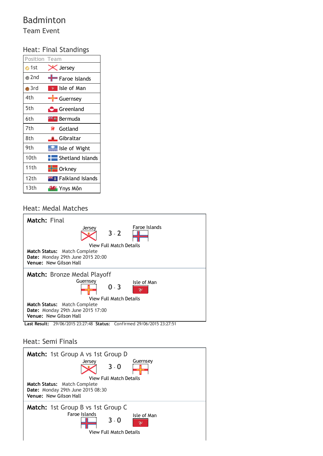# Badminton

Team Event

## Heat: Final Standings

| <b>Position Team</b> |                            |
|----------------------|----------------------------|
| ∩ 1st                | $\zeta$ Jersey             |
| $\bullet$ 2nd        | Faroe Islands              |
| $\blacksquare$ 3rd   | Isle of Man                |
| 4th                  | Guernsey                   |
| 5th                  | <b>C</b> Greenland         |
| 6th                  | <del>≍</del> ∎ Bermuda     |
| 7th                  | Gotland                    |
| 8th                  | ≞ Gibraltar                |
| 9th                  | s Isle of Wight            |
| 10th                 | Shetland Islands           |
| 11th                 | $\blacksquare$ Orkney      |
| 12th                 | <b>** Falkland Islands</b> |
| 13th                 | <b>La</b> Ynys Môn         |
|                      |                            |

## Heat: Medal Matches



## Heat: Semi Finals

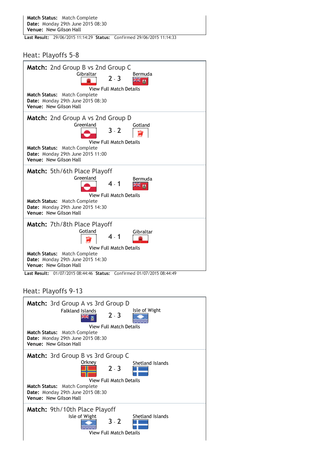Last Result: 29/06/2015 11:14:29 Status: Confirmed 29/06/2015 11:14:33

Heat: Playoffs 5‐8

| <b>Match:</b> 2nd Group B vs 2nd Group C<br>Gibraltar<br>Bermuda<br>$2 - 3$<br>м<br><b>View Full Match Details</b><br><b>Match Status: Match Complete</b><br><b>Date:</b> Monday 29th June 2015 08:30<br>Venue: New Gilson Hall                                                     |
|-------------------------------------------------------------------------------------------------------------------------------------------------------------------------------------------------------------------------------------------------------------------------------------|
| <b>Match:</b> 2nd Group A vs 2nd Group D<br>Greenland<br>Gotland<br>$3 - 2$<br><b>View Full Match Details</b><br><b>Match Status: Match Complete</b><br>Date: Monday 29th June 2015 11:00<br>Venue: New Gilson Hall                                                                 |
| Match: 5th/6th Place Playoff<br>Greenland<br>Bermuda<br><b>View Full Match Details</b><br><b>Match Status:</b> Match Complete<br><b>Date:</b> Monday 29th June 2015 14:30<br>Venue: New Gilson Hall                                                                                 |
| <b>Match: 7th/8th Place Playoff</b><br>Gotland<br>Gibraltar<br>View Full Match Details<br><b>Match Status: Match Complete</b><br><b>Date:</b> Monday 29th June 2015 14:30<br>Venue: New Gilson Hall<br>Confirmed 01/07/2015 08:44:49<br>Last Result:<br>01/07/2015 08:44:46 Status: |

Heat: Playoffs 9‐13

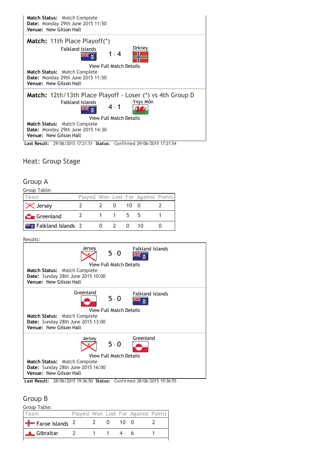

Heat: Group Stage

### Group A

|--|

| Team                           |  |     |      | Played Won Lost For Against Points |  |
|--------------------------------|--|-----|------|------------------------------------|--|
| $\mathbf{X}$ Jersey            |  |     | 10 O |                                    |  |
| <b>C</b> Greenland             |  | 115 |      |                                    |  |
| <b>Fig. Falkland Islands</b> 2 |  |     |      | 1 <sub>0</sub>                     |  |

Results:



## Group B

| Group Table:                  |               |              |                                    |  |
|-------------------------------|---------------|--------------|------------------------------------|--|
| Team                          |               |              | Played Won Lost For Against Points |  |
| $\frac{1}{2}$ Faroe Islands 2 | $\lambda = 0$ | $10 \quad 0$ |                                    |  |
| Gibraltar                     |               |              |                                    |  |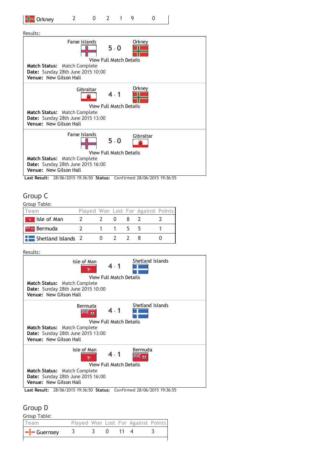

Results:



Last Result: 28/06/2015 19:36:50 Status: Confirmed 28/06/2015 19:36:55

### Group C

Group Table:

| <b>feam</b>                      |  |  | Played Won Lost For Against Points |  |
|----------------------------------|--|--|------------------------------------|--|
| Isle of Man<br>$\mathcal{V}$     |  |  |                                    |  |
| <b>Externe Bermuda</b>           |  |  |                                    |  |
| $\frac{1}{2}$ Shetland Islands 2 |  |  |                                    |  |

Results:



## Group D

Group Table:

| l Team                    |  |  | Played Won Lost For Against Points |  |
|---------------------------|--|--|------------------------------------|--|
| $\left  \right $ Guernsey |  |  |                                    |  |
|                           |  |  |                                    |  |